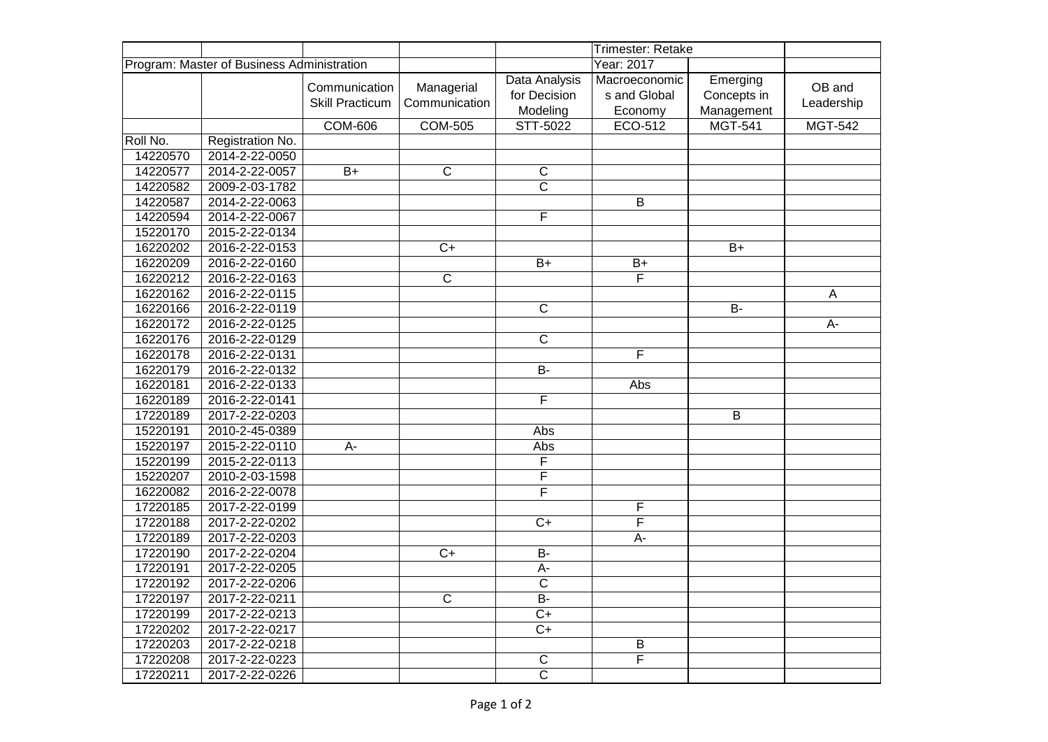|                                            |                  |                        |                         |                         | Trimester: Retake       |                |                |
|--------------------------------------------|------------------|------------------------|-------------------------|-------------------------|-------------------------|----------------|----------------|
| Program: Master of Business Administration |                  |                        |                         |                         | Year: 2017              |                |                |
|                                            |                  | Communication          | Managerial              | Data Analysis           | Macroeconomic           | Emerging       | OB and         |
|                                            |                  | <b>Skill Practicum</b> | Communication           | for Decision            | s and Global            | Concepts in    | Leadership     |
|                                            |                  |                        |                         | Modeling                | Economy                 | Management     |                |
|                                            |                  | <b>COM-606</b>         | <b>COM-505</b>          | STT-5022                | ECO-512                 | <b>MGT-541</b> | <b>MGT-542</b> |
| Roll No.                                   | Registration No. |                        |                         |                         |                         |                |                |
| 14220570                                   | 2014-2-22-0050   |                        |                         |                         |                         |                |                |
| 14220577                                   | 2014-2-22-0057   | $B+$                   | $\overline{C}$          | $\overline{C}$          |                         |                |                |
| 14220582                                   | 2009-2-03-1782   |                        |                         | $\overline{\text{c}}$   |                         |                |                |
| 14220587                                   | 2014-2-22-0063   |                        |                         |                         | B                       |                |                |
| 14220594                                   | 2014-2-22-0067   |                        |                         | $\overline{F}$          |                         |                |                |
| 15220170                                   | 2015-2-22-0134   |                        |                         |                         |                         |                |                |
| 16220202                                   | 2016-2-22-0153   |                        | $\overline{C}$          |                         |                         | $B+$           |                |
| 16220209                                   | 2016-2-22-0160   |                        |                         | $B+$                    | $B+$                    |                |                |
| 16220212                                   | 2016-2-22-0163   |                        | $\overline{\mathsf{c}}$ |                         | F                       |                |                |
| 16220162                                   | 2016-2-22-0115   |                        |                         |                         |                         |                | A              |
| 16220166                                   | 2016-2-22-0119   |                        |                         | $\overline{C}$          |                         | $B -$          |                |
| 16220172                                   | 2016-2-22-0125   |                        |                         |                         |                         |                | A-             |
| 16220176                                   | 2016-2-22-0129   |                        |                         | $\overline{\text{c}}$   |                         |                |                |
| 16220178                                   | 2016-2-22-0131   |                        |                         |                         | F                       |                |                |
| 16220179                                   | 2016-2-22-0132   |                        |                         | B-                      |                         |                |                |
| 16220181                                   | 2016-2-22-0133   |                        |                         |                         | Abs                     |                |                |
| 16220189                                   | 2016-2-22-0141   |                        |                         | F                       |                         |                |                |
| 17220189                                   | 2017-2-22-0203   |                        |                         |                         |                         | B              |                |
| 15220191                                   | 2010-2-45-0389   |                        |                         | Abs                     |                         |                |                |
| 15220197                                   | 2015-2-22-0110   | A-                     |                         | Abs                     |                         |                |                |
| 15220199                                   | 2015-2-22-0113   |                        |                         | F                       |                         |                |                |
| 15220207                                   | 2010-2-03-1598   |                        |                         | $\overline{\mathsf{F}}$ |                         |                |                |
| 16220082                                   | 2016-2-22-0078   |                        |                         | F                       |                         |                |                |
| 17220185                                   | 2017-2-22-0199   |                        |                         |                         | F                       |                |                |
| 17220188                                   | 2017-2-22-0202   |                        |                         | $\overline{C+}$         | $\overline{\mathsf{F}}$ |                |                |
| 17220189                                   | 2017-2-22-0203   |                        |                         |                         | $A -$                   |                |                |
| 17220190                                   | 2017-2-22-0204   |                        | $\overline{C}$          | $\overline{B}$          |                         |                |                |
| 17220191                                   | 2017-2-22-0205   |                        |                         | A-                      |                         |                |                |
| 17220192                                   | 2017-2-22-0206   |                        |                         | $\overline{C}$          |                         |                |                |
| 17220197                                   | 2017-2-22-0211   |                        | $\overline{\text{c}}$   | $\overline{B}$          |                         |                |                |
| 17220199                                   | 2017-2-22-0213   |                        |                         | $\overline{C+}$         |                         |                |                |
| 17220202                                   | 2017-2-22-0217   |                        |                         | $C+$                    |                         |                |                |
| 17220203                                   | 2017-2-22-0218   |                        |                         |                         | Β                       |                |                |
| 17220208                                   | 2017-2-22-0223   |                        |                         | $\mathbf C$             | $\overline{\sf F}$      |                |                |
| 17220211                                   | 2017-2-22-0226   |                        |                         | $\overline{\text{c}}$   |                         |                |                |